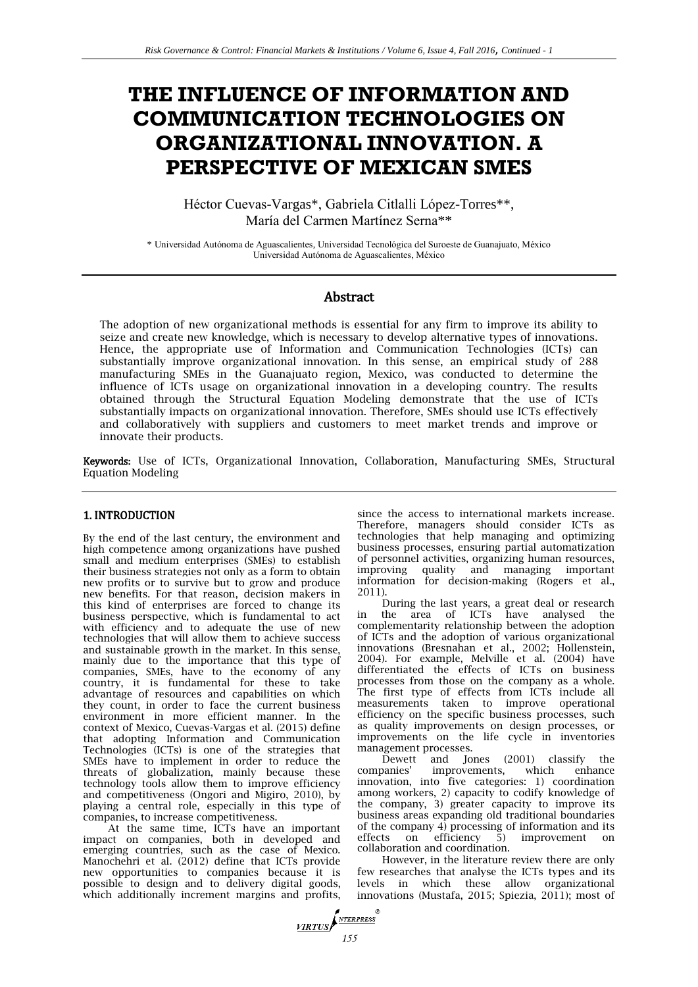# **THE INFLUENCE OF INFORMATION AND COMMUNICATION TECHNOLOGIES ON ORGANIZATIONAL INNOVATION. A PERSPECTIVE OF MEXICAN SMES**

Héctor Cuevas-Vargas\*, Gabriela Citlalli López-Torres\*\*, María del Carmen Martínez Serna\*\*

\* Universidad Autónoma de Aguascalientes, Universidad Tecnológica del Suroeste de Guanajuato, México Universidad Autónoma de Aguascalientes, México

# Abstract

The adoption of new organizational methods is essential for any firm to improve its ability to seize and create new knowledge, which is necessary to develop alternative types of innovations. Hence, the appropriate use of Information and Communication Technologies (ICTs) can substantially improve organizational innovation. In this sense, an empirical study of 288 manufacturing SMEs in the Guanajuato region, Mexico, was conducted to determine the influence of ICTs usage on organizational innovation in a developing country. The results obtained through the Structural Equation Modeling demonstrate that the use of ICTs substantially impacts on organizational innovation. Therefore, SMEs should use ICTs effectively and collaboratively with suppliers and customers to meet market trends and improve or innovate their products.

Keywords: Use of ICTs, Organizational Innovation, Collaboration, Manufacturing SMEs, Structural Equation Modeling

## 1. INTRODUCTION

By the end of the last century, the environment and high competence among organizations have pushed small and medium enterprises (SMEs) to establish their business strategies not only as a form to obtain new profits or to survive but to grow and produce new benefits. For that reason, decision makers in this kind of enterprises are forced to change its business perspective, which is fundamental to act with efficiency and to adequate the use of new technologies that will allow them to achieve success and sustainable growth in the market. In this sense, mainly due to the importance that this type of companies, SMEs, have to the economy of any country, it is fundamental for these to take advantage of resources and capabilities on which they count, in order to face the current business environment in more efficient manner. In the context of Mexico, Cuevas-Vargas et al. (2015) define that adopting Information and Communication Technologies (ICTs) is one of the strategies that SMEs have to implement in order to reduce the threats of globalization, mainly because these technology tools allow them to improve efficiency and competitiveness (Ongori and Migiro, 2010), by playing a central role, especially in this type of companies, to increase competitiveness.

At the same time, ICTs have an important impact on companies, both in developed and emerging countries, such as the case of Mexico. Manochehri et al. (2012) define that ICTs provide new opportunities to companies because it is possible to design and to delivery digital goods, which additionally increment margins and profits.

since the access to international markets increase. Therefore, managers should consider ICTs as technologies that help managing and optimizing business processes, ensuring partial automatization of personnel activities, organizing human resources, improving quality and managing important information for decision-making (Rogers et al., 2011).

During the last years, a great deal or research in the area of ICTs have analysed the complementarity relationship between the adoption of ICTs and the adoption of various organizational innovations (Bresnahan et al., 2002; Hollenstein, 2004). For example, Melville et al. (2004) have differentiated the effects of ICTs on business processes from those on the company as a whole. The first type of effects from ICTs include all measurements taken to improve operational efficiency on the specific business processes, such as quality improvements on design processes, or improvements on the life cycle in inventories management processes.

Dewett and Jones (2001) classify the companies' improvements, which enhance companies' improvements, which enhance innovation, into five categories: 1) coordination among workers, 2) capacity to codify knowledge of the company, 3) greater capacity to improve its business areas expanding old traditional boundaries of the company 4) processing of information and its<br>effects on efficiency 5) improvement on effects on efficiency 5) improvement on collaboration and coordination.

However, in the literature review there are only few researches that analyse the ICTs types and its levels in which these allow organizational innovations (Mustafa, 2015; Spiezia, 2011); most of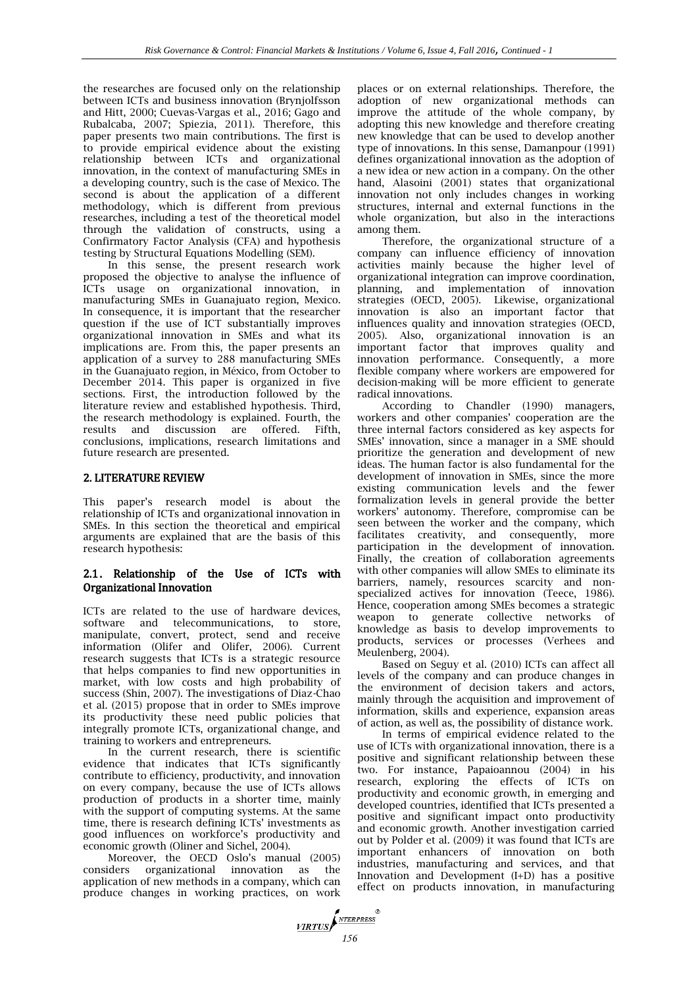the researches are focused only on the relationship between ICTs and business innovation (Brynjolfsson and Hitt, 2000; Cuevas-Vargas et al., 2016; Gago and Rubalcaba, 2007; Spiezia, 2011). Therefore, this paper presents two main contributions. The first is to provide empirical evidence about the existing relationship between ICTs and organizational innovation, in the context of manufacturing SMEs in a developing country, such is the case of Mexico. The second is about the application of a different methodology, which is different from previous researches, including a test of the theoretical model through the validation of constructs, using a Confirmatory Factor Analysis (CFA) and hypothesis testing by Structural Equations Modelling (SEM).

In this sense, the present research work proposed the objective to analyse the influence of ICTs usage on organizational innovation, in manufacturing SMEs in Guanajuato region, Mexico. In consequence, it is important that the researcher question if the use of ICT substantially improves organizational innovation in SMEs and what its implications are. From this, the paper presents an application of a survey to 288 manufacturing SMEs in the Guanajuato region, in México, from October to December 2014. This paper is organized in five sections. First, the introduction followed by the literature review and established hypothesis. Third, the research methodology is explained. Fourth, the results and discussion are offered. Fifth, conclusions, implications, research limitations and future research are presented.

#### 2. LITERATURE REVIEW

This paper's research model is about the relationship of ICTs and organizational innovation in SMEs. In this section the theoretical and empirical arguments are explained that are the basis of this research hypothesis:

## 2.1. Relationship of the Use of ICTs with Organizational Innovation

ICTs are related to the use of hardware devices, software and telecommunications, to store, manipulate, convert, protect, send and receive information (Olifer and Olifer, 2006). Current research suggests that ICTs is a strategic resource that helps companies to find new opportunities in market, with low costs and high probability of success (Shin, 2007). The investigations of Diaz-Chao et al. (2015) propose that in order to SMEs improve its productivity these need public policies that integrally promote ICTs, organizational change, and training to workers and entrepreneurs.

In the current research, there is scientific evidence that indicates that ICTs significantly contribute to efficiency, productivity, and innovation on every company, because the use of ICTs allows production of products in a shorter time, mainly with the support of computing systems. At the same time, there is research defining ICTs' investments as good influences on workforce's productivity and economic growth (Oliner and Sichel, 2004).

Moreover, the OECD Oslo's manual (2005) considers organizational innovation as the application of new methods in a company, which can produce changes in working practices, on work places or on external relationships. Therefore, the adoption of new organizational methods can improve the attitude of the whole company, by adopting this new knowledge and therefore creating new knowledge that can be used to develop another type of innovations. In this sense, Damanpour (1991) defines organizational innovation as the adoption of a new idea or new action in a company. On the other hand, Alasoini (2001) states that organizational innovation not only includes changes in working structures, internal and external functions in the whole organization, but also in the interactions among them.

Therefore, the organizational structure of a company can influence efficiency of innovation activities mainly because the higher level of organizational integration can improve coordination, planning, and implementation of innovation strategies (OECD, 2005). Likewise, organizational innovation is also an important factor that influences quality and innovation strategies (OECD, 2005). Also, organizational innovation is an important factor that improves quality and innovation performance. Consequently, a more flexible company where workers are empowered for decision-making will be more efficient to generate radical innovations.

According to Chandler (1990) managers, workers and other companies' cooperation are the three internal factors considered as key aspects for SMEs' innovation, since a manager in a SME should prioritize the generation and development of new ideas. The human factor is also fundamental for the development of innovation in SMEs, since the more existing communication levels and the fewer formalization levels in general provide the better workers' autonomy. Therefore, compromise can be seen between the worker and the company, which facilitates creativity, and consequently, more participation in the development of innovation. Finally, the creation of collaboration agreements with other companies will allow SMEs to eliminate its barriers, namely, resources scarcity and nonspecialized actives for innovation (Teece, 1986). Hence, cooperation among SMEs becomes a strategic weapon to generate collective networks of knowledge as basis to develop improvements to products, services or processes (Verhees and Meulenberg, 2004).

Based on Seguy et al. (2010) ICTs can affect all levels of the company and can produce changes in the environment of decision takers and actors, mainly through the acquisition and improvement of information, skills and experience, expansion areas of action, as well as, the possibility of distance work.

In terms of empirical evidence related to the use of ICTs with organizational innovation, there is a positive and significant relationship between these two. For instance, Papaioannou (2004) in his research, exploring the effects of ICTs on productivity and economic growth, in emerging and developed countries, identified that ICTs presented a positive and significant impact onto productivity and economic growth. Another investigation carried out by Polder et al. (2009) it was found that ICTs are important enhancers of innovation on both industries, manufacturing and services, and that Innovation and Development (I+D) has a positive effect on products innovation, in manufacturing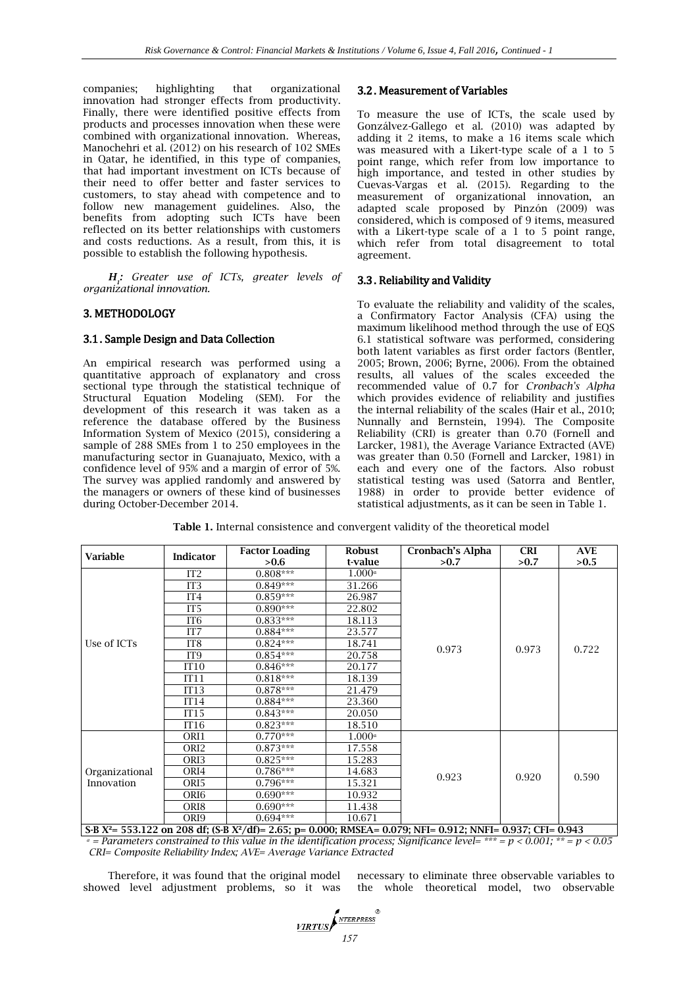companies; highlighting that organizational innovation had stronger effects from productivity. Finally, there were identified positive effects from products and processes innovation when these were combined with organizational innovation. Whereas, Manochehri et al. (2012) on his research of 102 SMEs in Qatar, he identified, in this type of companies, that had important investment on ICTs because of their need to offer better and faster services to customers, to stay ahead with competence and to follow new management guidelines. Also, the benefits from adopting such ICTs have been reflected on its better relationships with customers and costs reductions. As a result, from this, it is possible to establish the following hypothesis.

*H1 : Greater use of ICTs, greater levels of organizational innovation.* 

## 3. METHODOLOGY

#### 3.1. Sample Design and Data Collection

An empirical research was performed using a quantitative approach of explanatory and cross sectional type through the statistical technique of Structural Equation Modeling (SEM). For the development of this research it was taken as a reference the database offered by the Business Information System of Mexico (2015), considering a sample of 288 SMEs from 1 to 250 employees in the manufacturing sector in Guanajuato, Mexico, with a confidence level of 95% and a margin of error of 5%. The survey was applied randomly and answered by the managers or owners of these kind of businesses during October-December 2014.

## 3.2. Measurement of Variables

To measure the use of ICTs, the scale used by Gonzálvez-Gallego et al. (2010) was adapted by adding it 2 items, to make a 16 items scale which was measured with a Likert-type scale of a 1 to 5 point range, which refer from low importance to high importance, and tested in other studies by Cuevas-Vargas et al. (2015). Regarding to the measurement of organizational innovation, an adapted scale proposed by Pinzón (2009) was considered, which is composed of 9 items, measured with a Likert-type scale of a 1 to 5 point range, which refer from total disagreement to total agreement.

## 3.3. Reliability and Validity

To evaluate the reliability and validity of the scales, a Confirmatory Factor Analysis (CFA) using the maximum likelihood method through the use of EQS 6.1 statistical software was performed, considering both latent variables as first order factors (Bentler, 2005; Brown, 2006; Byrne, 2006). From the obtained results, all values of the scales exceeded the recommended value of 0.7 for *Cronbach's Alpha* which provides evidence of reliability and justifies the internal reliability of the scales (Hair et al., 2010; Nunnally and Bernstein, 1994). The Composite Reliability (CRI) is greater than 0.70 (Fornell and Larcker, 1981), the Average Variance Extracted (AVE) was greater than 0.50 (Fornell and Larcker, 1981) in each and every one of the factors. Also robust statistical testing was used (Satorra and Bentler, 1988) in order to provide better evidence of statistical adjustments, as it can be seen in Table 1.

| <b>Variable</b>              | <b>Indicator</b> | <b>Robust</b><br><b>Factor Loading</b> |                      | Cronbach's Alpha | <b>CRI</b> | <b>AVE</b> |
|------------------------------|------------------|----------------------------------------|----------------------|------------------|------------|------------|
|                              |                  | >0.6                                   | t-value              | >0.7             | >0.7       | >0.5       |
|                              | IT <sub>2</sub>  | $0.808***$                             | $1.000^a$            |                  |            | 0.722      |
|                              | IT <sub>3</sub>  | $0.849***$                             | 31.266               |                  |            |            |
|                              | IT <sub>4</sub>  | $0.859***$                             | 26.987               |                  |            |            |
|                              | IT <sub>5</sub>  | $0.890***$                             | 22.802               |                  |            |            |
|                              | IT <sub>6</sub>  | $0.833***$                             | 18.113               |                  | 0.973      |            |
|                              | IT7              | $0.884***$                             | 23.577               |                  |            |            |
| Use of ICTs                  | IT <sub>8</sub>  | $0.824***$                             | 18.741               | 0.973            |            |            |
|                              | IT <sub>9</sub>  | $0.854***$                             | 20.758               |                  |            |            |
|                              | IT10             | $0.846***$                             | 20.177               |                  |            |            |
|                              | IT11             | $0.818***$                             | 18.139               |                  |            |            |
|                              | IT13             | $0.878***$                             | 21.479               |                  |            |            |
|                              | IT14             | $0.884***$                             | 23.360               |                  |            |            |
|                              | IT <sub>15</sub> | $0.843***$                             | 20.050               |                  |            |            |
|                              | IT16             | $0.823***$                             | 18.510               |                  |            |            |
| Organizational<br>Innovation | ORI1             | $0.770***$                             | $1.000$ <sup>a</sup> |                  | 0.920      | 0.590      |
|                              | ORI <sub>2</sub> | $0.873***$                             | 17.558               |                  |            |            |
|                              | ORI <sub>3</sub> | $0.825***$                             | 15.283               |                  |            |            |
|                              | ORI4             | $0.786***$                             | 14.683               | 0.923            |            |            |
|                              | ORI5             | $0.796***$                             | 15.321               |                  |            |            |
|                              | ORI <sub>6</sub> | $0.690***$                             | 10.932               |                  |            |            |
|                              | ORI8             | $0.690***$                             | 11.438               |                  |            |            |
|                              | ORI <sub>9</sub> | $0.694***$                             | 10.671               |                  |            |            |

**Table 1.** Internal consistence and convergent validity of the theoretical model

**S-B X²= 553.122 on 208 df; (S-B X²/df)= 2.65; p= 0.000; RMSEA= 0.079; NFI= 0.912; NNFI= 0.937; CFI= 0.943**  $\mu$  = Parameters constrained to this value in the identification process; Significance level= \*\*\* = p < 0.001; \*\* = p < 0.05  *CRI= Composite Reliability Index; AVE= Average Variance Extracted* 

Therefore, it was found that the original model showed level adjustment problems, so it was necessary to eliminate three observable variables to the whole theoretical model, two observable

**VIRTUS**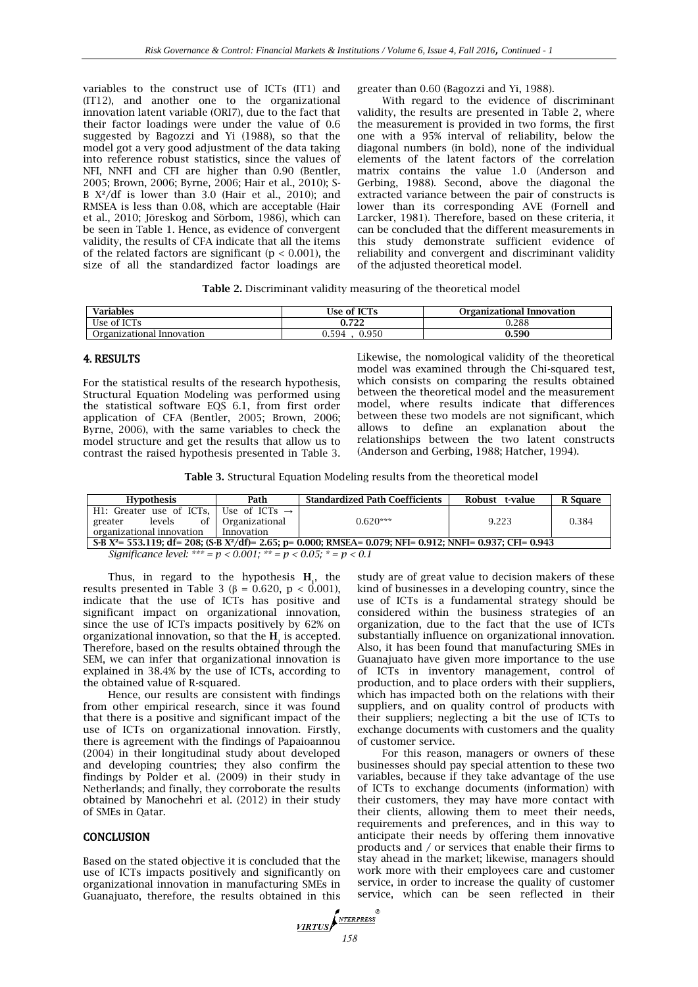variables to the construct use of ICTs (IT1) and (IT12), and another one to the organizational innovation latent variable (ORI7), due to the fact that their factor loadings were under the value of 0.6 suggested by Bagozzi and Yi (1988), so that the model got a very good adjustment of the data taking into reference robust statistics, since the values of NFI, NNFI and CFI are higher than 0.90 (Bentler, 2005; Brown, 2006; Byrne, 2006; Hair et al., 2010); S-B  $X^2$ /df is lower than 3.0 (Hair et al., 2010); and RMSEA is less than 0.08, which are acceptable (Hair et al., 2010; Jöreskog and Sörbom, 1986), which can be seen in Table 1. Hence, as evidence of convergent validity, the results of CFA indicate that all the items of the related factors are significant ( $p < 0.001$ ), the size of all the standardized factor loadings are greater than 0.60 (Bagozzi and Yi, 1988).

With regard to the evidence of discriminant validity, the results are presented in Table 2, where the measurement is provided in two forms, the first one with a 95% interval of reliability, below the diagonal numbers (in bold), none of the individual elements of the latent factors of the correlation matrix contains the value 1.0 (Anderson and Gerbing, 1988). Second, above the diagonal the extracted variance between the pair of constructs is lower than its corresponding AVE (Fornell and Larcker, 1981). Therefore, based on these criteria, it can be concluded that the different measurements in this study demonstrate sufficient evidence of reliability and convergent and discriminant validity of the adjusted theoretical model.

|  |  | <b>Table 2.</b> Discriminant validity measuring of the theoretical model |
|--|--|--------------------------------------------------------------------------|
|--|--|--------------------------------------------------------------------------|

| Variables                                                 | Use of ICTs    | Organizational Innovation |
|-----------------------------------------------------------|----------------|---------------------------|
| $P$ T $Q$ T $\overline{P}$<br>Use -<br>0ľ<br>$\mathbf{r}$ | 700<br>v. 174  | 0.288                     |
| Organizational Innovation                                 | 0.950<br>J.594 | 0.590                     |

#### 4. RESULTS

For the statistical results of the research hypothesis, Structural Equation Modeling was performed using the statistical software EQS 6.1, from first order application of CFA (Bentler, 2005; Brown, 2006; Byrne, 2006), with the same variables to check the model structure and get the results that allow us to contrast the raised hypothesis presented in Table 3. Likewise, the nomological validity of the theoretical model was examined through the Chi-squared test, which consists on comparing the results obtained between the theoretical model and the measurement model, where results indicate that differences between these two models are not significant, which allows to define an explanation about the relationships between the two latent constructs (Anderson and Gerbing, 1988; Hatcher, 1994).

| <b>Table 3.</b> Structural Equation Modeling results from the theoretical model |  |  |  |  |  |  |  |
|---------------------------------------------------------------------------------|--|--|--|--|--|--|--|
|---------------------------------------------------------------------------------|--|--|--|--|--|--|--|

| Hypothesis                                                                                                                                | Path              | <b>Standardized Path Coefficients</b> | Robust t-value | R Square |  |  |  |
|-------------------------------------------------------------------------------------------------------------------------------------------|-------------------|---------------------------------------|----------------|----------|--|--|--|
| H1: Greater use of ICTs,   Use of ICTs $\rightarrow$                                                                                      |                   |                                       |                |          |  |  |  |
| levels<br>greater                                                                                                                         | of Organizational | $0.620***$                            | 9.223          | 0.384    |  |  |  |
| organizational innovation                                                                                                                 | I Innovation      |                                       |                |          |  |  |  |
| S-B X <sup>2</sup> = 553.119; df = 208; (S-B X <sup>2</sup> /df) = 2.65; p = 0.000; RMSEA = 0.079; NFI = 0.912; NNFI = 0.937; CFI = 0.943 |                   |                                       |                |          |  |  |  |
|                                                                                                                                           |                   |                                       |                |          |  |  |  |

*Significance level: \*\*\* = p < 0.001; \*\* = p < 0.05; \* = p < 0.1*

Thus, in regard to the hypothesis  $H_1$ , the results presented in Table 3 ( $\beta$  = 0.620, p < 0.001), indicate that the use of ICTs has positive and significant impact on organizational innovation, since the use of ICTs impacts positively by 62% on organizational innovation, so that the **H<sup>1</sup>** is accepted. Therefore, based on the results obtained through the SEM, we can infer that organizational innovation is explained in 38.4% by the use of ICTs, according to the obtained value of R-squared.

Hence, our results are consistent with findings from other empirical research, since it was found that there is a positive and significant impact of the use of ICTs on organizational innovation. Firstly, there is agreement with the findings of Papaioannou (2004) in their longitudinal study about developed and developing countries; they also confirm the findings by Polder et al. (2009) in their study in Netherlands; and finally, they corroborate the results obtained by Manochehri et al. (2012) in their study of SMEs in Qatar.

#### **CONCLUSION**

Based on the stated objective it is concluded that the use of ICTs impacts positively and significantly on organizational innovation in manufacturing SMEs in Guanajuato, therefore, the results obtained in this

study are of great value to decision makers of these kind of businesses in a developing country, since the use of ICTs is a fundamental strategy should be considered within the business strategies of an organization, due to the fact that the use of ICTs substantially influence on organizational innovation. Also, it has been found that manufacturing SMEs in Guanajuato have given more importance to the use of ICTs in inventory management, control of production, and to place orders with their suppliers, which has impacted both on the relations with their suppliers, and on quality control of products with their suppliers; neglecting a bit the use of ICTs to exchange documents with customers and the quality of customer service.

For this reason, managers or owners of these businesses should pay special attention to these two variables, because if they take advantage of the use of ICTs to exchange documents (information) with their customers, they may have more contact with their clients, allowing them to meet their needs, requirements and preferences, and in this way to anticipate their needs by offering them innovative products and / or services that enable their firms to stay ahead in the market; likewise, managers should work more with their employees care and customer service, in order to increase the quality of customer service, which can be seen reflected in their

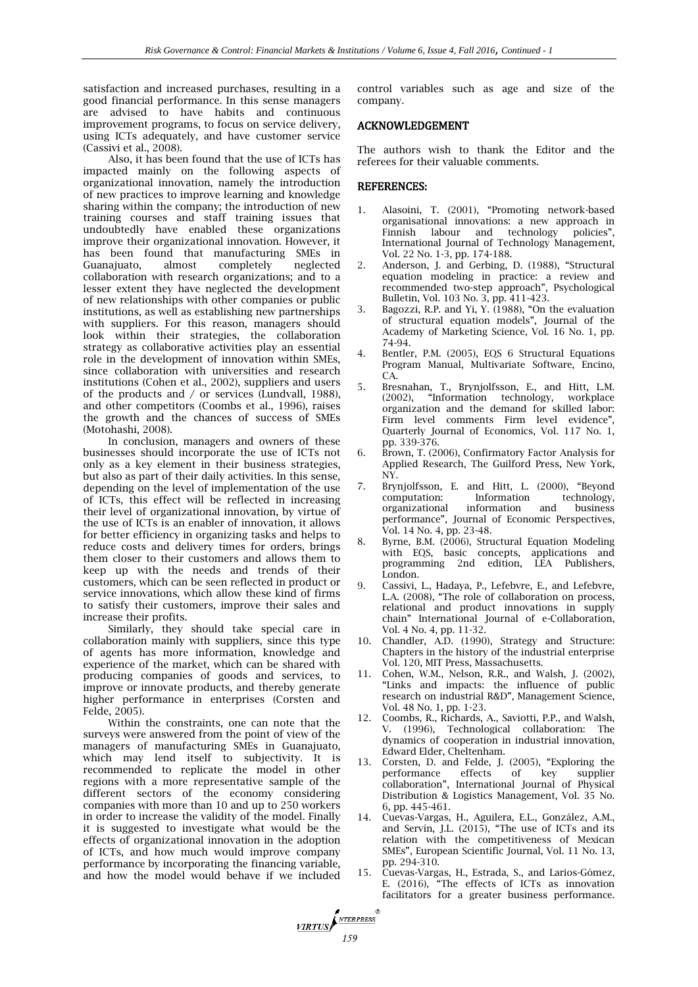satisfaction and increased purchases, resulting in a good financial performance. In this sense managers are advised to have habits and continuous improvement programs, to focus on service delivery, using ICTs adequately, and have customer service (Cassivi et al., 2008).

Also, it has been found that the use of ICTs has impacted mainly on the following aspects of organizational innovation, namely the introduction of new practices to improve learning and knowledge sharing within the company; the introduction of new training courses and staff training issues that undoubtedly have enabled these organizations improve their organizational innovation. However, it has been found that manufacturing SMEs in Guanajuato, almost completely neglected collaboration with research organizations; and to a lesser extent they have neglected the development of new relationships with other companies or public institutions, as well as establishing new partnerships with suppliers. For this reason, managers should look within their strategies, the collaboration strategy as collaborative activities play an essential role in the development of innovation within SMEs, since collaboration with universities and research institutions (Cohen et al., 2002), suppliers and users of the products and / or services (Lundvall, 1988), and other competitors (Coombs et al., 1996), raises the growth and the chances of success of SMEs (Motohashi, 2008).

In conclusion, managers and owners of these businesses should incorporate the use of ICTs not only as a key element in their business strategies, but also as part of their daily activities. In this sense, depending on the level of implementation of the use of ICTs, this effect will be reflected in increasing their level of organizational innovation, by virtue of the use of ICTs is an enabler of innovation, it allows for better efficiency in organizing tasks and helps to reduce costs and delivery times for orders, brings them closer to their customers and allows them to keep up with the needs and trends of their customers, which can be seen reflected in product or service innovations, which allow these kind of firms to satisfy their customers, improve their sales and increase their profits.

Similarly, they should take special care in collaboration mainly with suppliers, since this type of agents has more information, knowledge and experience of the market, which can be shared with producing companies of goods and services, to improve or innovate products, and thereby generate higher performance in enterprises (Corsten and Felde, 2005).

Within the constraints, one can note that the surveys were answered from the point of view of the managers of manufacturing SMEs in Guanajuato, which may lend itself to subjectivity. It is recommended to replicate the model in other regions with a more representative sample of the different sectors of the economy considering companies with more than 10 and up to 250 workers in order to increase the validity of the model. Finally it is suggested to investigate what would be the effects of organizational innovation in the adoption of ICTs, and how much would improve company performance by incorporating the financing variable, and how the model would behave if we included

*159* 

control variables such as age and size of the company.

#### ACKNOWLEDGEMENT

The authors wish to thank the Editor and the referees for their valuable comments.

#### REFERENCES:

- 1. Alasoini, T. (2001), "Promoting network-based organisational innovations: a new approach in Finnish labour and technology policies", International Journal of Technology Management, Vol. 22 No. 1-3, pp. 174-188.
- 2. Anderson, J. and Gerbing, D. (1988), "Structural equation modeling in practice: a review and recommended two-step approach", Psychological Bulletin, Vol. 103 No. 3, pp. 411-423.
- 3. Bagozzi, R.P. and Yi, Y. (1988), "On the evaluation of structural equation models", Journal of the Academy of Marketing Science, Vol. 16 No. 1, pp. 74-94.
- 4. Bentler, P.M. (2005), EQS 6 Structural Equations Program Manual, Multivariate Software, Encino, CA.
- 5. Bresnahan, T., Brynjolfsson, E., and Hitt, L.M. (2002), "Information technology, workplace organization and the demand for skilled labor: Firm level comments Firm level evidence", Quarterly Journal of Economics, Vol. 117 No. 1, pp. 339-376.
- 6. Brown, T. (2006), Confirmatory Factor Analysis for Applied Research, The Guilford Press, New York, NY.
- 7. Brynjolfsson, E. and Hitt, L. (2000), "Beyond computation: Information technology,<br>
organizational information and business organizational information and business performance", Journal of Economic Perspectives, Vol. 14 No. 4, pp. 23-48.
- 8. Byrne, B.M. (2006), Structural Equation Modeling with EQS, basic concepts, applications and programming 2nd edition, LEA Publishers, London.
- 9. Cassivi, L., Hadaya, P., Lefebvre, E., and Lefebvre, L.A. (2008), "The role of collaboration on process, relational and product innovations in supply chain" International Journal of e-Collaboration, Vol. 4 No. 4, pp. 11-32.
- 10. Chandler, A.D. (1990), Strategy and Structure: Chapters in the history of the industrial enterprise Vol. 120, MIT Press, Massachusetts.
- 11. Cohen, W.M., Nelson, R.R., and Walsh, J. (2002), "Links and impacts: the influence of public research on industrial R&D", Management Science, Vol. 48 No. 1, pp. 1-23.
- 12. Coombs, R., Richards, A., Saviotti, P.P., and Walsh, V. (1996), Technological collaboration: The dynamics of cooperation in industrial innovation, Edward Elder, Cheltenham.
- 13. Corsten, D. and Felde, J. (2005), "Exploring the performance effects of key supplier collaboration", International Journal of Physical Distribution & Logistics Management, Vol. 35 No. 6, pp. 445-461.
- 14. Cuevas-Vargas, H., Aguilera, E.L., González, A.M., and Servín, J.L. (2015), "The use of ICTs and its relation with the competitiveness of Mexican SMEs", European Scientific Journal, Vol. 11 No. 13, pp. 294-310.
- 15. Cuevas-Vargas, H., Estrada, S., and Larios-Gómez, E. (2016), "The effects of ICTs as innovation facilitators for a greater business performance.